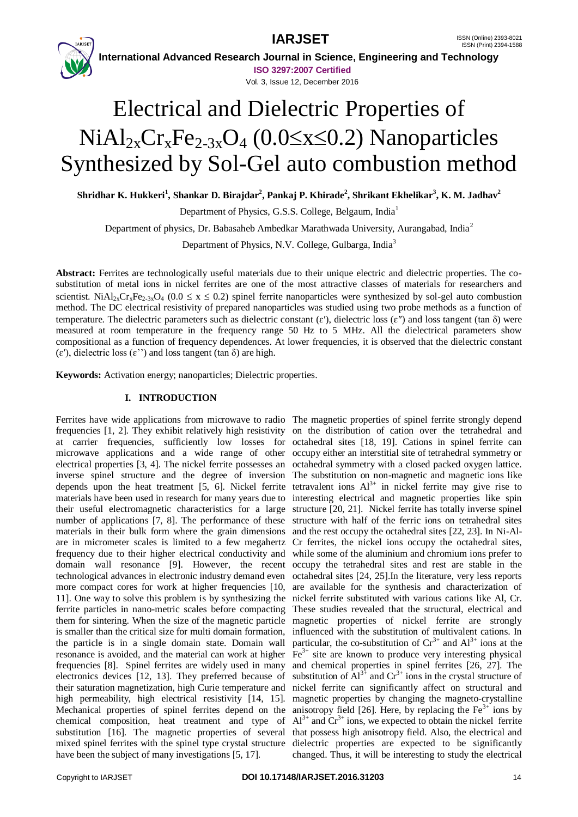**IARJSET** ISSN (Online) 2393-8021



 **International Advanced Research Journal in Science, Engineering and Technology ISO 3297:2007 Certified**

Vol. 3, Issue 12, December 2016

# Electrical and Dielectric Properties of  $NiAl<sub>2x</sub>Cr<sub>x</sub>Fe<sub>2-3x</sub>O<sub>4</sub>$  (0.0 $\leq$ x $\leq$ 0.2) Nanoparticles Synthesized by Sol-Gel auto combustion method

 $\boldsymbol{\mathrm{Shridhar}}$   $\boldsymbol{\mathrm{K}}$ . Hukkeri $^{1}$ , Shankar D. Birajdar $^{2}$ , Pankaj P. Khirade $^{2}$ , Shrikant Ekhelikar $^{3}$ , K. M. Jadhav $^{2}$ 

Department of Physics, G.S.S. College, Belgaum, India<sup>1</sup>

Department of physics, Dr. Babasaheb Ambedkar Marathwada University, Aurangabad, India<sup>2</sup>

Department of Physics, N.V. College, Gulbarga, India<sup>3</sup>

**Abstract:** Ferrites are technologically useful materials due to their unique electric and dielectric properties. The cosubstitution of metal ions in nickel ferrites are one of the most attractive classes of materials for researchers and scientist. Ni $Al_{2x}Cr_xFe_{2-3x}O_4$  (0.0  $\leq x \leq 0.2$ ) spinel ferrite nanoparticles were synthesized by sol-gel auto combustion method. The DC electrical resistivity of prepared nanoparticles was studied using two probe methods as a function of temperature. The dielectric parameters such as dielectric constant  $(\varepsilon')$ , dielectric loss  $(\varepsilon'')$  and loss tangent (tan  $\delta$ ) were measured at room temperature in the frequency range 50 Hz to 5 MHz. All the dielectrical parameters show compositional as a function of frequency dependences. At lower frequencies, it is observed that the dielectric constant (ɛ′), dielectric loss (ɛ'') and loss tangent (tan δ) are high.

**Keywords:** Activation energy; nanoparticles; Dielectric properties.

# **I. INTRODUCTION**

Ferrites have wide applications from microwave to radio The magnetic properties of spinel ferrite strongly depend frequencies [1, 2]. They exhibit relatively high resistivity on the distribution of cation over the tetrahedral and at carrier frequencies, sufficiently low losses for octahedral sites [18, 19]. Cations in spinel ferrite can microwave applications and a wide range of other occupy either an interstitial site of tetrahedral symmetry or electrical properties [3, 4]. The nickel ferrite possesses an octahedral symmetry with a closed packed oxygen lattice. inverse spinel structure and the degree of inversion The substitution on non-magnetic and magnetic ions like depends upon the heat treatment  $[5, 6]$ . Nickel ferrite tetravalent ions  $Al^{3+}$  in nickel ferrite may give rise to materials have been used in research for many years due to interesting electrical and magnetic properties like spin their useful electromagnetic characteristics for a large structure [20, 21]. Nickel ferrite has totally inverse spinel number of applications [7, 8]. The performance of these structure with half of the ferric ions on tetrahedral sites materials in their bulk form where the grain dimensions and the rest occupy the octahedral sites [22, 23]. In Ni-Alare in micrometer scales is limited to a few megahertz Cr ferrites, the nickel ions occupy the octahedral sites, frequency due to their higher electrical conductivity and while some of the aluminium and chromium ions prefer to domain wall resonance [9]. However, the recent occupy the tetrahedral sites and rest are stable in the technological advances in electronic industry demand even octahedral sites [24, 25].In the literature, very less reports more compact cores for work at higher frequencies [10, are available for the synthesis and characterization of 11]. One way to solve this problem is by synthesizing the nickel ferrite substituted with various cations like Al, Cr. ferrite particles in nano-metric scales before compacting them for sintering. When the size of the magnetic particle magnetic properties of nickel ferrite are strongly is smaller than the critical size for multi domain formation, the particle is in a single domain state. Domain wall resonance is avoided, and the material can work at higher  $\overline{Fe}^{3+}$  site are known to produce very interesting physical frequencies [8]. Spinel ferrites are widely used in many electronics devices [12, 13]. They preferred because of their saturation magnetization, high Curie temperature and nickel ferrite can significantly affect on structural and high permeability, high electrical resistivity [14, 15]. magnetic properties by changing the magneto-crystalline Mechanical properties of spinel ferrites depend on the anisotropy field [26]. Here, by replacing the  $Fe<sup>3+</sup>$  ions by chemical composition, heat treatment and type of substitution [16]. The magnetic properties of several that possess high anisotropy field. Also, the electrical and mixed spinel ferrites with the spinel type crystal structure dielectric properties are expected to be significantly have been the subject of many investigations [5, 17].

These studies revealed that the structural, electrical and influenced with the substitution of multivalent cations. In particular, the co-substitution of  $Cr^{3+}$  and  $Al^{3+}$  ions at the and chemical properties in spinel ferrites [26, 27]. The substitution of  $Al^{3+}$  and  $Cr^{3+}$  ions in the crystal structure of  $Al^{3+}$  and  $Cr^{3+}$  ions, we expected to obtain the nickel ferrite changed. Thus, it will be interesting to study the electrical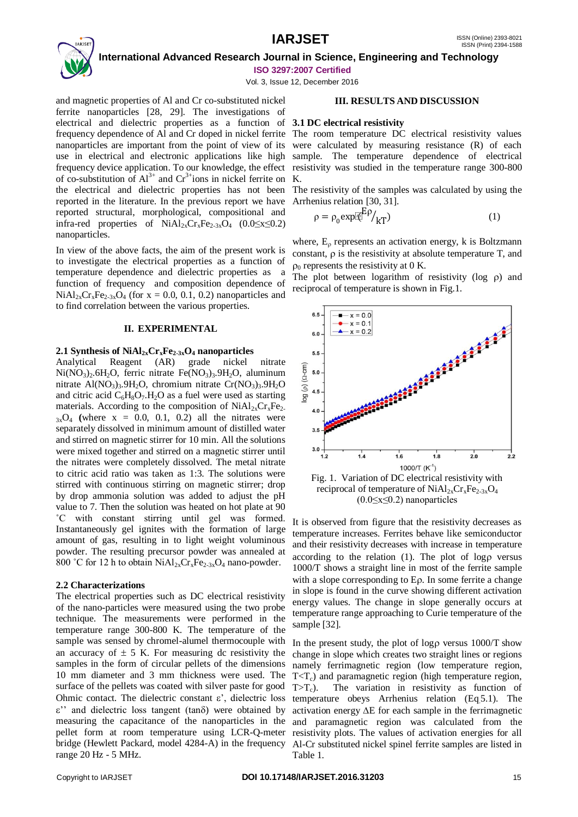# **IARJSET** ISSN (Online) 2393-8021



 **International Advanced Research Journal in Science, Engineering and Technology ISO 3297:2007 Certified**

Vol. 3, Issue 12, December 2016

and magnetic properties of Al and Cr co-substituted nickel ferrite nanoparticles [28, 29]. The investigations of electrical and dielectric properties as a function of **3.1 DC electrical resistivity** frequency dependence of Al and Cr doped in nickel ferrite The room temperature DC electrical resistivity values nanoparticles are important from the point of view of its use in electrical and electronic applications like high sample. The temperature dependence of electrical frequency device application. To our knowledge, the effect resistivity was studied in the temperature range 300-800 of co-substitution of  $Al^{3+}$  and  $Cr^{3+}$ ions in nickel ferrite on K. the electrical and dielectric properties has not been reported in the literature. In the previous report we have reported structural, morphological, compositional and infra-red properties of  $NiAl_{2x}Cr_xFe_{2-3x}O_4$  (0.0≤x≤0.2) nanoparticles.

In view of the above facts, the aim of the present work is to investigate the electrical properties as a function of temperature dependence and dielectric properties as a function of frequency and composition dependence of  $NiAl<sub>2x</sub>Cr<sub>x</sub>Fe<sub>2-3x</sub>O<sub>4</sub>$  (for  $x = 0.0, 0.1, 0.2$ ) nanoparticles and to find correlation between the various properties.

#### **II. EXPERIMENTAL**

#### **2.1 Synthesis of NiAl2xCrxFe2-3xO<sup>4</sup> nanoparticles**

Analytical Reagent (AR) grade nickel nitrate  $Ni(NO<sub>3</sub>)<sub>2</sub>·6H<sub>2</sub>O$ , ferric nitrate  $Fe(NO<sub>3</sub>)<sub>3</sub>·9H<sub>2</sub>O$ , aluminum nitrate  $Al(NO<sub>3</sub>)<sub>3</sub>·9H<sub>2</sub>O$ , chromium nitrate  $Cr(NO<sub>3</sub>)<sub>3</sub>·9H<sub>2</sub>O$ and citric acid  $C_6H_8O_7.H_2O$  as a fuel were used as starting materials. According to the composition of  $NiAl<sub>2x</sub>Cr<sub>x</sub>Fe<sub>2</sub>$  $3xO_4$  (where  $x = 0.0, 0.1, 0.2$ ) all the nitrates were separately dissolved in minimum amount of distilled water and stirred on magnetic stirrer for 10 min. All the solutions were mixed together and stirred on a magnetic stirrer until the nitrates were completely dissolved. The metal nitrate to citric acid ratio was taken as 1:3. The solutions were stirred with continuous stirring on magnetic stirrer; drop by drop ammonia solution was added to adjust the pH value to 7. Then the solution was heated on hot plate at 90 ˚C with constant stirring until gel was formed. Instantaneously gel ignites with the formation of large amount of gas, resulting in to light weight voluminous powder. The resulting precursor powder was annealed at 800 °C for 12 h to obtain  $NiAl_{2x}Cr_xFe_{2-3x}O_4$  nano-powder.

#### **2.2 Characterizations**

The electrical properties such as DC electrical resistivity of the nano-particles were measured using the two probe technique. The measurements were performed in the temperature range 300-800 K. The temperature of the sample was sensed by chromel-alumel thermocouple with an accuracy of  $\pm$  5 K. For measuring dc resistivity the samples in the form of circular pellets of the dimensions 10 mm diameter and 3 mm thickness were used. The surface of the pellets was coated with silver paste for good range 20 Hz - 5 MHz.

### **III. RESULTS AND DISCUSSION**

were calculated by measuring resistance (R) of each

The resistivity of the samples was calculated by using the Arrhenius relation [30, 31].

$$
\rho = \rho_0 \exp[\bar{E}^{\rm E} \rho_{\rm kT}) \tag{1}
$$

where,  $E_0$  represents an activation energy, k is Boltzmann constant,  $\rho$  is the resistivity at absolute temperature T, and  $\rho_0$  represents the resistivity at 0 K.

The plot between logarithm of resistivity ( $log \rho$ ) and reciprocal of temperature is shown in Fig.1.



 $(0.0 \le x \le 0.2)$  nanoparticles

It is observed from figure that the resistivity decreases as temperature increases. Ferrites behave like semiconductor and their resistivity decreases with increase in temperature according to the relation  $(1)$ . The plot of logo versus 1000/T shows a straight line in most of the ferrite sample with a slope corresponding to  $E\rho$ . In some ferrite a change in slope is found in the curve showing different activation energy values. The change in slope generally occurs at temperature range approaching to Curie temperature of the sample [32].

Ohmic contact. The dielectric constant  $\varepsilon'$ , dielectric loss temperature obeys Arrhenius relation (Eq.5.1). The  $\varepsilon$ " and dielectric loss tangent (tan $\delta$ ) were obtained by activation energy  $\Delta E$  for each sample in the ferrimagnetic measuring the capacitance of the nanoparticles in the and paramagnetic region was calculated from the pellet form at room temperature using LCR-Q-meter resistivity plots. The values of activation energies for all bridge (Hewlett Packard, model 4284-A) in the frequency Al-Cr substituted nickel spinel ferrite samples are listed in In the present study, the plot of logo versus  $1000/T$  show change in slope which creates two straight lines or regions namely ferrimagnetic region (low temperature region,  $T < T<sub>c</sub>$ ) and paramagnetic region (high temperature region,  $T>T_c$ ). The variation in resistivity as function of Table 1.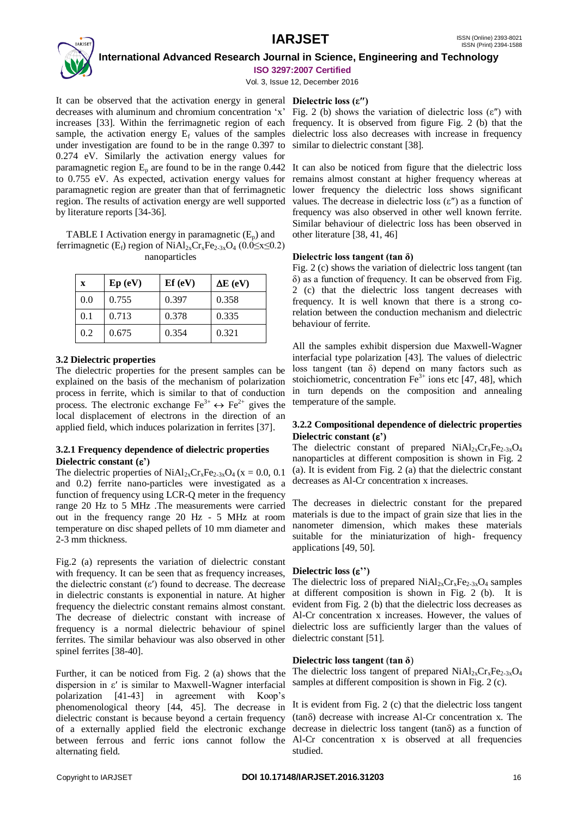

 **International Advanced Research Journal in Science, Engineering and Technology**

**ISO 3297:2007 Certified**

Vol. 3, Issue 12, December 2016

It can be observed that the activation energy in general **Dielectric loss (ε″)** decreases with aluminum and chromium concentration 'x' Fig. 2 (b) shows the variation of dielectric loss (ε″) with increases [33]. Within the ferrimagnetic region of each frequency. It is observed from figure Fig. 2 (b) that the sample, the activation energy  $E_f$  values of the samples dielectric loss also decreases with increase in frequency under investigation are found to be in the range 0.397 to 0.274 eV. Similarly the activation energy values for paramagnetic region  $E_p$  are found to be in the range 0.442 It can also be noticed from figure that the dielectric loss to 0.755 eV. As expected, activation energy values for paramagnetic region are greater than that of ferrimagnetic region. The results of activation energy are well supported by literature reports [34-36].

TABLE I Activation energy in paramagnetic  $(E_p)$  and ferrimagnetic (E<sub>f</sub>) region of NiAl<sub>2x</sub>Cr<sub>x</sub>Fe<sub>2-3x</sub>O<sub>4</sub> (0.0≤x≤0.2) nanoparticles

| X   | Ep(eV) | Ef(eV) | $\Delta E$ (eV) |
|-----|--------|--------|-----------------|
| 0.0 | 0.755  | 0.397  | 0.358           |
| 0.1 | 0.713  | 0.378  | 0.335           |
| 0.2 | 0.675  | 0.354  | 0.321           |

# **3.2 Dielectric properties**

The dielectric properties for the present samples can be explained on the basis of the mechanism of polarization process in ferrite, which is similar to that of conduction process. The electronic exchange  $\text{Fe}^{3+} \leftrightarrow \text{Fe}^{2+}$  gives the local displacement of electrons in the direction of an applied field, which induces polarization in ferrites [37].

# **3.2.1 Frequency dependence of dielectric properties Dielectric constant (')**

The dielectric properties of  $NiAl<sub>2x</sub>Cr<sub>x</sub>Fe<sub>2-3x</sub>O<sub>4</sub>$  (x = 0.0, 0.1) and 0.2) ferrite nano-particles were investigated as a function of frequency using LCR-Q meter in the frequency range 20 Hz to 5 MHz .The measurements were carried out in the frequency range 20 Hz - 5 MHz at room temperature on disc shaped pellets of 10 mm diameter and 2-3 mm thickness.

Fig.2 (a) represents the variation of dielectric constant with frequency. It can be seen that as frequency increases, the dielectric constant  $(ε')$  found to decrease. The decrease in dielectric constants is exponential in nature. At higher frequency the dielectric constant remains almost constant. The decrease of dielectric constant with increase of frequency is a normal dielectric behaviour of spinel ferrites. The similar behaviour was also observed in other spinel ferrites [38-40].

Further, it can be noticed from Fig. 2 (a) shows that the dispersion in ε′ is similar to Maxwell-Wagner interfacial polarization [41-43] in agreement with Koop's phenomenological theory [44, 45]. The decrease in dielectric constant is because beyond a certain frequency of a externally applied field the electronic exchange between ferrous and ferric ions cannot follow the Al-Cr concentration x is observed at all frequencies alternating field.

similar to dielectric constant [38].

remains almost constant at higher frequency whereas at lower frequency the dielectric loss shows significant values. The decrease in dielectric loss (ε″) as a function of frequency was also observed in other well known ferrite. Similar behaviour of dielectric loss has been observed in other literature [38, 41, 46]

# **Dielectric loss tangent (tan δ)**

Fig. 2 (c) shows the variation of dielectric loss tangent (tan δ) as a function of frequency. It can be observed from Fig. 2 (c) that the dielectric loss tangent decreases with frequency. It is well known that there is a strong corelation between the conduction mechanism and dielectric behaviour of ferrite.

All the samples exhibit dispersion due Maxwell-Wagner interfacial type polarization [43]. The values of dielectric loss tangent (tan δ) depend on many factors such as stoichiometric, concentration  $Fe<sup>3+</sup>$  ions etc [47, 48], which in turn depends on the composition and annealing temperature of the sample.

# **3.2.2 Compositional dependence of dielectric properties Dielectric constant (')**

The dielectric constant of prepared  $NiAl<sub>2x</sub>Cr<sub>x</sub>Fe<sub>2-3x</sub>O<sub>4</sub>$ nanoparticles at different composition is shown in Fig. 2 (a). It is evident from Fig. 2 (a) that the dielectric constant decreases as Al-Cr concentration x increases.

The decreases in dielectric constant for the prepared materials is due to the impact of grain size that lies in the nanometer dimension, which makes these materials suitable for the miniaturization of high- frequency applications [49, 50].

### **Dielectric loss ('')**

The dielectric loss of prepared  $NiAl_{2x}Cr_{x}Fe_{2-3x}O_{4}$  samples at different composition is shown in Fig. 2 (b). It is evident from Fig. 2 (b) that the dielectric loss decreases as Al-Cr concentration x increases. However, the values of dielectric loss are sufficiently larger than the values of dielectric constant [51].

### **Dielectric loss tangent** (**tan δ**)

The dielectric loss tangent of prepared  $NiAl<sub>2x</sub>Cr<sub>x</sub>Fe<sub>2-3x</sub>O<sub>4</sub>$ samples at different composition is shown in Fig. 2 (c).

It is evident from Fig. 2 (c) that the dielectric loss tangent  $(tan\delta)$  decrease with increase Al-Cr concentration x. The decrease in dielectric loss tangent ( $tan\delta$ ) as a function of studied.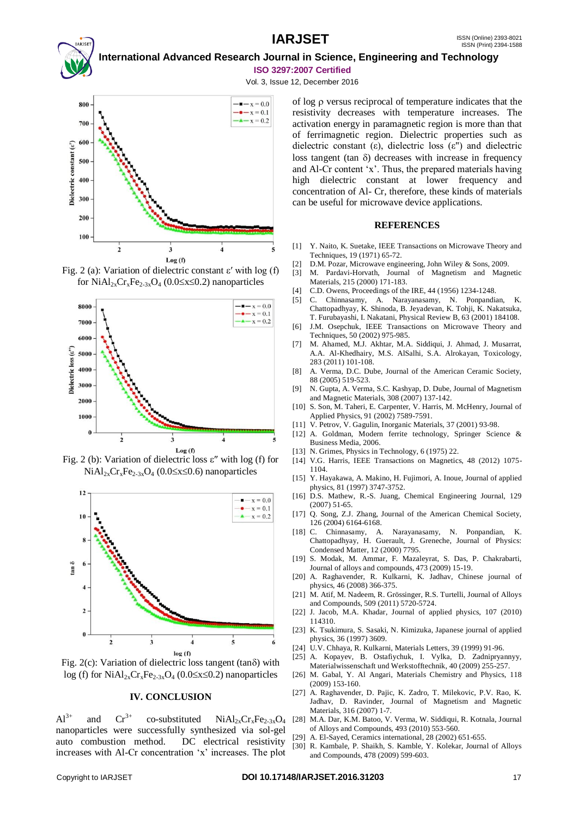# **International Advanced Research Journal in Science, Engineering and Technology ISO 3297:2007 Certified**

Vol. 3, Issue 12, December 2016







Fig. 2 (b): Variation of dielectric loss  $\varepsilon''$  with log (f) for  $NiAl<sub>2x</sub>Cr<sub>x</sub>Fe<sub>2-3x</sub>O<sub>4</sub>$  (0.0 \(10.6 \) nanoparticles



Fig. 2(c): Variation of dielectric loss tangent (tan $\delta$ ) with  $log (f)$  for NiAl<sub>2x</sub>Cr<sub>x</sub>Fe<sub>2-3x</sub>O<sub>4</sub> (0.0 \(0.2x \simum 0.2) nanoparticles

#### **IV. CONCLUSION**

 $Al^{3+}$  and  $Cr^{3+}$  co-substituted  $NiAl_{2x}Cr_{x}Fe_{2-3x}O_{4}$ nanoparticles were successfully synthesized via sol-gel auto combustion method. DC electrical resistivity increases with Al-Cr concentration 'x' increases. The plot

of  $log \rho$  versus reciprocal of temperature indicates that the resistivity decreases with temperature increases. The activation energy in paramagnetic region is more than that of ferrimagnetic region. Dielectric properties such as dielectric constant (ε), dielectric loss (ε'') and dielectric loss tangent (tan  $\delta$ ) decreases with increase in frequency and Al-Cr content 'x'. Thus, the prepared materials having high dielectric constant at lower frequency and concentration of Al- Cr, therefore, these kinds of materials can be useful for microwave device applications.

#### **REFERENCES**

- [1] Y. Naito, K. Suetake, IEEE Transactions on Microwave Theory and Techniques, 19 (1971) 65-72.
- [2] D.M. Pozar, Microwave engineering, John Wiley & Sons, 2009.
- [3] M. Pardavi-Horvath, Journal of Magnetism and Magnetic Materials, 215 (2000) 171-183.
- [4] C.D. Owens, Proceedings of the IRE, 44 (1956) 1234-1248.
- [5] C. Chinnasamy, A. Narayanasamy, N. Ponpandian, K. Chattopadhyay, K. Shinoda, B. Jeyadevan, K. Tohji, K. Nakatsuka, T. Furubayashi, I. Nakatani, Physical Review B, 63 (2001) 184108.
- [6] J.M. Osepchuk, IEEE Transactions on Microwave Theory and Techniques, 50 (2002) 975-985.
- [7] M. Ahamed, M.J. Akhtar, M.A. Siddiqui, J. Ahmad, J. Musarrat, A.A. Al-Khedhairy, M.S. AlSalhi, S.A. Alrokayan, Toxicology, 283 (2011) 101-108.
- [8] A. Verma, D.C. Dube, Journal of the American Ceramic Society, 88 (2005) 519-523.
- [9] N. Gupta, A. Verma, S.C. Kashyap, D. Dube, Journal of Magnetism and Magnetic Materials, 308 (2007) 137-142.
- [10] S. Son, M. Taheri, E. Carpenter, V. Harris, M. McHenry, Journal of Applied Physics, 91 (2002) 7589-7591.
- [11] V. Petrov, V. Gagulin, Inorganic Materials, 37 (2001) 93-98.
- [12] A. Goldman, Modern ferrite technology, Springer Science & Business Media, 2006.
- [13] N. Grimes, Physics in Technology, 6 (1975) 22.
- [14] V.G. Harris, IEEE Transactions on Magnetics, 48 (2012) 1075- 1104.
- [15] Y. Hayakawa, A. Makino, H. Fujimori, A. Inoue, Journal of applied physics, 81 (1997) 3747-3752.
- [16] D.S. Mathew, R.-S. Juang, Chemical Engineering Journal, 129 (2007) 51-65.
- [17] Q. Song, Z.J. Zhang, Journal of the American Chemical Society, 126 (2004) 6164-6168.
- [18] C. Chinnasamy, A. Narayanasamy, N. Ponpandian, K. Chattopadhyay, H. Guerault, J. Greneche, Journal of Physics: Condensed Matter, 12 (2000) 7795.
- [19] S. Modak, M. Ammar, F. Mazaleyrat, S. Das, P. Chakrabarti, Journal of alloys and compounds, 473 (2009) 15-19.
- [20] A. Raghavender, R. Kulkarni, K. Jadhav, Chinese journal of physics, 46 (2008) 366-375.
- [21] M. Atif, M. Nadeem, R. Grössinger, R.S. Turtelli, Journal of Alloys and Compounds, 509 (2011) 5720-5724.
- [22] J. Jacob, M.A. Khadar, Journal of applied physics, 107 (2010) 114310.
- [23] K. Tsukimura, S. Sasaki, N. Kimizuka, Japanese journal of applied physics, 36 (1997) 3609.
- [24] U.V. Chhaya, R. Kulkarni, Materials Letters, 39 (1999) 91-96.
- [25] A. Kopayev, B. Ostafiychuk, I. Vylka, D. Zadnipryannyy, Materialwissenschaft und Werkstofftechnik, 40 (2009) 255-257.
- [26] M. Gabal, Y. Al Angari, Materials Chemistry and Physics, 118 (2009) 153-160.
- [27] A. Raghavender, D. Pajic, K. Zadro, T. Milekovic, P.V. Rao, K. Jadhav, D. Ravinder, Journal of Magnetism and Magnetic Materials, 316 (2007) 1-7.
- [28] M.A. Dar, K.M. Batoo, V. Verma, W. Siddiqui, R. Kotnala, Journal of Alloys and Compounds, 493 (2010) 553-560.
- [29] A. El-Sayed, Ceramics international, 28 (2002) 651-655.
- [30] R. Kambale, P. Shaikh, S. Kamble, Y. Kolekar, Journal of Alloys and Compounds, 478 (2009) 599-603.